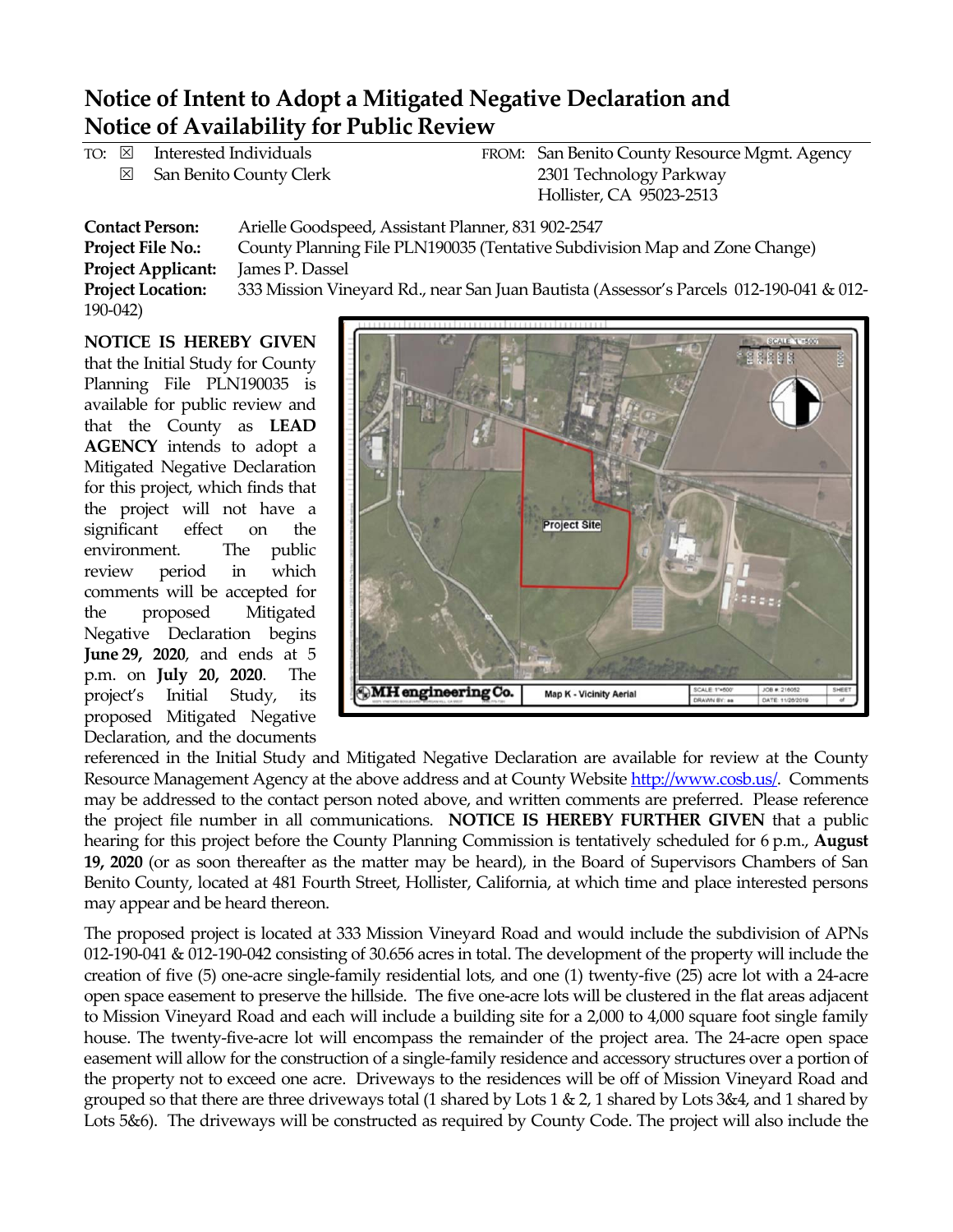## **Notice of Intent to Adopt a Mitigated Negative Declaration and Notice of Availability for Public Review**

|                                                                                                                                                                                                                                                                                                                                                                                                               |  | TO: $\boxtimes$ Interested Individuals |  | FROM: San Benito County Resource Mgmt. Agency |
|---------------------------------------------------------------------------------------------------------------------------------------------------------------------------------------------------------------------------------------------------------------------------------------------------------------------------------------------------------------------------------------------------------------|--|----------------------------------------|--|-----------------------------------------------|
|                                                                                                                                                                                                                                                                                                                                                                                                               |  | $\boxtimes$ San Benito County Clerk    |  | 2301 Technology Parkway                       |
|                                                                                                                                                                                                                                                                                                                                                                                                               |  |                                        |  | Hollister, CA 95023-2513                      |
| $\Lambda$ and $\Lambda$ and $\Lambda$ and $\Lambda$ and $\Lambda$ and $\Lambda$ and $\Lambda$ and $\Lambda$ and $\Lambda$ and $\Lambda$ and $\Lambda$ and $\Lambda$ and $\Lambda$ and $\Lambda$ and $\Lambda$ and $\Lambda$ and $\Lambda$ and $\Lambda$ and $\Lambda$ and $\Lambda$ and $\Lambda$ and $\Lambda$ and $\Lambda$ and $\Lambda$ and $\Lambda$<br>$C = 1.4$ M $_{\odot}$ m $_{\odot}$ m $_{\odot}$ |  |                                        |  |                                               |

**Contact Person:** Arielle Goodspeed, Assistant Planner, 831 902-2547 **Project File No.:** County Planning File PLN190035 (Tentative Subdivision Map and Zone Change) **Project Applicant:** James P. Dassel **Project Location:** 333 Mission Vineyard Rd., near San Juan Bautista (Assessor's Parcels 012-190-041 & 012- 190-042)

**NOTICE IS HEREBY GIVEN** that the Initial Study for County Planning File PLN190035 is available for public review and that the County as **LEAD AGENCY** intends to adopt a Mitigated Negative Declaration for this project, which finds that the project will not have a significant effect on the environment. The public review period in which comments will be accepted for the proposed Mitigated Negative Declaration begins **June 29, 2020**, and ends at 5 p.m. on **July 20, 2020**. The project's Initial Study, its proposed Mitigated Negative Declaration, and the documents



referenced in the Initial Study and Mitigated Negative Declaration are available for review at the County Resource Management Agency at the above address and at County Website [http://www.cosb.us/.](http://www.cosb.us/) Comments may be addressed to the contact person noted above, and written comments are preferred. Please reference the project file number in all communications. **NOTICE IS HEREBY FURTHER GIVEN** that a public hearing for this project before the County Planning Commission is tentatively scheduled for 6 p.m., **August 19, 2020** (or as soon thereafter as the matter may be heard), in the Board of Supervisors Chambers of San Benito County, located at 481 Fourth Street, Hollister, California, at which time and place interested persons may appear and be heard thereon.

The proposed project is located at 333 Mission Vineyard Road and would include the subdivision of APNs 012-190-041 & 012-190-042 consisting of 30.656 acres in total. The development of the property will include the creation of five (5) one-acre single-family residential lots, and one (1) twenty-five (25) acre lot with a 24-acre open space easement to preserve the hillside. The five one-acre lots will be clustered in the flat areas adjacent to Mission Vineyard Road and each will include a building site for a 2,000 to 4,000 square foot single family house. The twenty-five-acre lot will encompass the remainder of the project area. The 24-acre open space easement will allow for the construction of a single-family residence and accessory structures over a portion of the property not to exceed one acre. Driveways to the residences will be off of Mission Vineyard Road and grouped so that there are three driveways total (1 shared by Lots  $1 \& 2$ , 1 shared by Lots  $3 \& 4$ , and 1 shared by Lots 5&6). The driveways will be constructed as required by County Code. The project will also include the